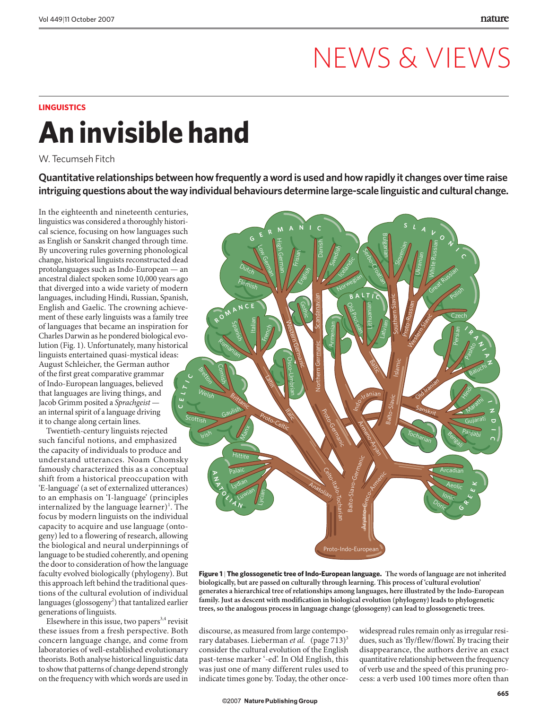## NEWS & VIEWS

### **LINGUISTICS**

# **An invisible hand**

W. Tecumseh Fitch

**Quantitative relationships between how frequently a word is used and how rapidly it changes over time raise intriguing questions about the way individual behaviours determine large-scale linguistic and cultural change.**

**C E L T I C** In the eighteenth and nineteenth centuries, linguistics was considered a thoroughly historical science, focusing on how languages such as English or Sanskrit changed through time. By uncovering rules governing phonological change, historical linguists reconstructed dead protolanguages such as Indo-European — an ancestral dialect spoken some 10,000 years ago that diverged into a wide variety of modern languages, including Hindi, Russian, Spanish, English and Gaelic. The crowning achievement of these early linguists was a family tree of languages that became an inspiration for Charles Darwin as he pondered biological evolution (Fig. 1). Unfortunately, many historical linguists entertained quasi-mystical ideas: August Schleicher, the German author of the first great comparative grammar of Indo-European languages, believed that languages are living things, and Jacob Grimm posited a *Sprachgeist*  an internal spirit of a language driving it to change along certain lines.

Twentieth-century linguists rejected such fanciful notions, and emphasized the capacity of individuals to produce and understand utterances. Noam Chomsky famously characterized this as a conceptual shift from a historical preoccupation with 'E-language' (a set of externalized utterances) to an emphasis on 'I-language' (principles internalized by the language learner)<sup>1</sup>. The focus by modern linguists on the individual capacity to acquire and use language (ontogeny) led to a flowering of research, allowing the biological and neural underpinnings of language to be studied coherently, and opening the door to consideration of how the language faculty evolved biologically (phylogeny). But this approach left behind the traditional questions of the cultural evolution of individual languages (glossogeny<sup>2</sup>) that tantalized earlier generations of linguists.

Elsewhere in this issue, two papers  $3,4$  revisit these issues from a fresh perspective. Both concern language change, and come from laboratories of well-established evolutionary theorists. Both analyse historical linguistic data to show that patterns of change depend strongly on the frequency with which words are used in



**Figure 1** | **The glossogenetic tree of Indo-European language. The words of language are not inherited biologically, but are passed on culturally through learning. This process of 'cultural evolution' generates a hierarchical tree of relationships among languages, here illustrated by the Indo-European family. Just as descent with modification in biological evolution (phylogeny) leads to phylogenetic trees, so the analogous process in language change (glossogeny) can lead to glossogenetic trees.** 

discourse, as measured from large contemporary databases. Lieberman *et al.* (page 713)<sup>3</sup> consider the cultural evolution of the English past-tense marker '-ed'. In Old English, this was just one of many different rules used to indicate times gone by. Today, the other oncewidespread rules remain only as irregular residues, such as 'fly/flew/flown'. By tracing their disappearance, the authors derive an exact quantitative relationship between the frequency of verb use and the speed of this pruning process: a verb used 100 times more often than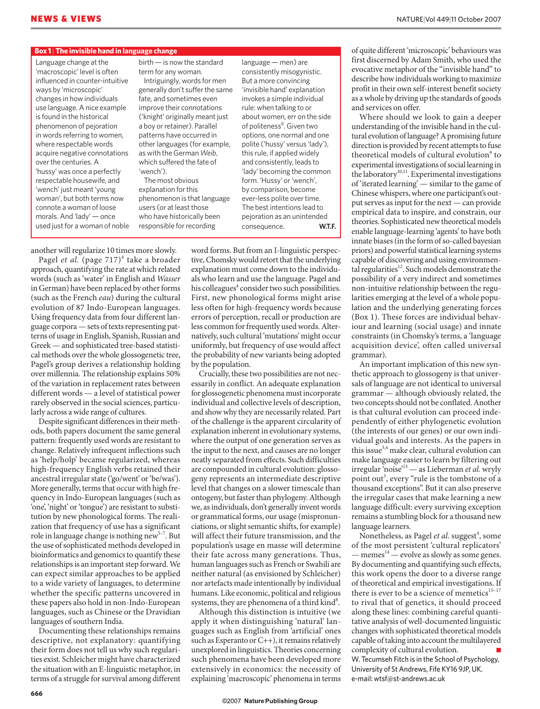#### **Box 1** | **The invisible hand in language change**

Language change at the 'macroscopic' level is often influenced in counter-intuitive ways by 'microscopic' changes in how individuals use language. A nice example is found in the historical phenomenon of pejoration in words referring to women, where respectable words acquire negative connotations over the centuries. A 'hussy' was once a perfectly respectable housewife, and 'wench' just meant 'young woman', but both terms now connote a woman of loose morals. And 'lady' — once used just for a woman of noble birth — is now the standard term for any woman.

Intriguingly, words for men generally don't suffer the same fate, and sometimes even improve their connotations ('knight' originally meant just a boy or retainer). Parallel patterns have occurred in other languages (for example, as with the German *Weib*, which suffered the fate of 'wench').

The most obvious explanation for this phenomenon is that language users (or at least those who have historically been responsible for recording

language — men) are consistently misogynistic. But a more convincing 'invisible hand' explanation invokes a simple individual rule: when talking to or about women, err on the side of politeness<sup>8</sup>. Given two options, one normal and one polite ('hussy' versus 'lady'), this rule, if applied widely and consistently, leads to 'lady' becoming the common form. 'Hussy' or 'wench', by comparison, become ever-less polite over time. The best intentions lead to pejoration as an unintended consequence. **W.T.F.**

another will regularize 10 times more slowly.

Pagel et al. (page 717)<sup>4</sup> take a broader approach, quantifying the rate at which related words (such as 'water' in English and *Wasser* in German) have been replaced by other forms (such as the French *eau*) during the cultural evolution of 87 Indo-European languages. Using frequency data from four different language corpora — sets of texts representing patterns of usage in English, Spanish, Russian and Greek — and sophisticated tree-based statistical methods over the whole glossogenetic tree, Pagel's group derives a relationship holding over millennia. The relationship explains 50% of the variation in replacement rates between different words — a level of statistical power rarely observed in the social sciences, particularly across a wide range of cultures.

Despite significant differences in their methods, both papers document the same general pattern: frequently used words are resistant to change. Relatively infrequent inflections such as 'help/holp' became regularized, whereas high-frequency English verbs retained their ancestral irregular state ('go/went' or 'be/was'). More generally, terms that occur with high frequency in Indo-European languages (such as 'one', 'night' or 'tongue') are resistant to substitution by new phonological forms. The realization that frequency of use has a significant role in language change is nothing new<sup>5-7</sup>. But the use of sophisticated methods developed in bioinformatics and genomics to quantify these relationships is an important step forward. We can expect similar approaches to be applied to a wide variety of languages, to determine whether the specific patterns uncovered in these papers also hold in non-Indo-European languages, such as Chinese or the Dravidian languages of southern India.

Documenting these relationships remains descriptive, not explanatory: quantifying their form does not tell us why such regularities exist. Schleicher might have characterized the situation with an E-linguistic metaphor, in terms of a struggle for survival among different word forms. But from an I-linguistic perspective, Chomsky would retort that the underlying explanation must come down to the individuals who learn and use the language. Pagel and his colleagues<sup>4</sup> consider two such possibilities. First, new phonological forms might arise less often for high-frequency words because errors of perception, recall or production are less common for frequently used words. Alternatively, such cultural 'mutations' might occur uniformly, but frequency of use would affect the probability of new variants being adopted by the population.

Crucially, these two possibilities are not necessarily in conflict. An adequate explanation for glossogenetic phenomena must incorporate individual and collective levels of description, and show why they are necessarily related. Part of the challenge is the apparent circularity of explanation inherent in evolutionary systems, where the output of one generation serves as the input to the next, and causes are no longer neatly separated from effects. Such difficulties are compounded in cultural evolution: glossogeny represents an intermediate descriptive level that changes on a slower timescale than ontogeny, but faster than phylogeny. Although we, as individuals, don't generally invent words or grammatical forms, our usage (mispronunciations, or slight semantic shifts, for example) will affect their future transmission, and the population's usage en masse will determine their fate across many generations. Thus, human languages such as French or Swahili are neither natural (as envisioned by Schleicher) nor artefacts made intentionally by individual humans. Like economic, political and religious systems, they are phenomena of a third kind<sup>8</sup>.

Although this distinction is intuitive (we apply it when distinguishing 'natural' languages such as English from 'artificial' ones such as Esperanto or C++), it remains relatively unexplored in linguistics. Theories concerning such phenomena have been developed more extensively in economics: the necessity of explaining 'macroscopic' phenomena in terms

of quite different 'microscopic' behaviours was first discerned by Adam Smith, who used the evocative metaphor of the "invisible hand" to describe how individuals working to maximize profit in their own self-interest benefit society as a whole by driving up the standards of goods and services on offer.

Where should we look to gain a deeper understanding of the invisible hand in the cultural evolution of language? A promising future direction is provided by recent attempts to fuse theoretical models of cultural evolution<sup>9</sup> to experimental investigations of social learning in the laboratory<sup>10,11</sup>. Experimental investigations of 'iterated learning' — similar to the game of Chinese whispers, where one participant's output serves as input for the next — can provide empirical data to inspire, and constrain, our theories. Sophisticated new theoretical models enable language-learning 'agents' to have both innate biases (in the form of so-called bayesian priors) and powerful statistical learning systems capable of discovering and using environmental regularities<sup>12</sup>. Such models demonstrate the possibility of a very indirect and sometimes non-intuitive relationship between the regularities emerging at the level of a whole population and the underlying generating forces (Box 1). These forces are individual behaviour and learning (social usage) and innate constraints (in Chomsky's terms, a 'language acquisition device', often called universal grammar).

An important implication of this new synthetic approach to glossogeny is that universals of language are not identical to universal grammar — although obviously related, the two concepts should not be conflated. Another is that cultural evolution can proceed independently of either phylogenetic evolution (the interests of our genes) or our own individual goals and interests. As the papers in this issue<sup>3,4</sup> make clear, cultural evolution can make language easier to learn by filtering out irregular 'noise'13 — as Lieberman *et al.* wryly point out<sup>3</sup>, every "rule is the tombstone of a thousand exceptions". But it can also preserve the irregular cases that make learning a new language difficult: every surviving exception remains a stumbling block for a thousand new language learners.

Nonetheless, as Pagel et al. suggest<sup>4</sup>, some of the most persistent 'cultural replicators' — memes $14$  — evolve as slowly as some genes. By documenting and quantifying such effects, this work opens the door to a diverse range of theoretical and empirical investigations. If there is ever to be a science of memetics<sup>15-17</sup> to rival that of genetics, it should proceed along these lines: combining careful quantitative analysis of well-documented linguistic changes with sophisticated theoretical models capable of taking into account the multilayered complexity of cultural evolution. W. Tecumseh Fitch is in the School of Psychology, University of St Andrews, Fife KY16 9JP, UK. e-mail: wtsf@st-andrews.ac.uk